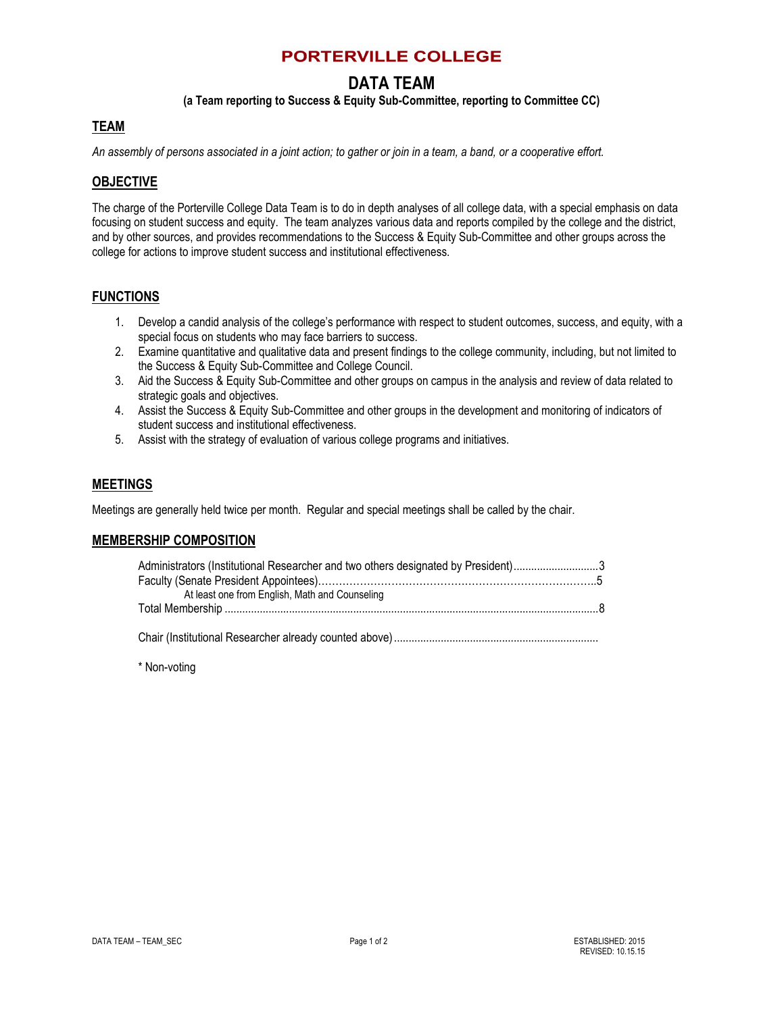## **PORTERVILLE COLLEGE**

# **DATA TEAM**

## **(a Team reporting to Success & Equity Sub-Committee, reporting to Committee CC)**

## **TEAM**

*An assembly of persons associated in a joint action; to gather or join in a team, a band, or a cooperative effort.*

### **OBJECTIVE**

The charge of the Porterville College Data Team is to do in depth analyses of all college data, with a special emphasis on data focusing on student success and equity. The team analyzes various data and reports compiled by the college and the district, and by other sources, and provides recommendations to the Success & Equity Sub-Committee and other groups across the college for actions to improve student success and institutional effectiveness.

## **FUNCTIONS**

- 1. Develop a candid analysis of the college's performance with respect to student outcomes, success, and equity, with a special focus on students who may face barriers to success.
- 2. Examine quantitative and qualitative data and present findings to the college community, including, but not limited to the Success & Equity Sub-Committee and College Council.
- 3. Aid the Success & Equity Sub-Committee and other groups on campus in the analysis and review of data related to strategic goals and objectives.
- 4. Assist the Success & Equity Sub-Committee and other groups in the development and monitoring of indicators of student success and institutional effectiveness.
- 5. Assist with the strategy of evaluation of various college programs and initiatives.

#### **MEETINGS**

Meetings are generally held twice per month. Regular and special meetings shall be called by the chair.

#### **MEMBERSHIP COMPOSITION**

| Administrators (Institutional Researcher and two others designated by President)3 |  |
|-----------------------------------------------------------------------------------|--|
|                                                                                   |  |
| At least one from English, Math and Counseling                                    |  |
|                                                                                   |  |
|                                                                                   |  |

Chair (Institutional Researcher already counted above)......................................................................

\* Non-voting